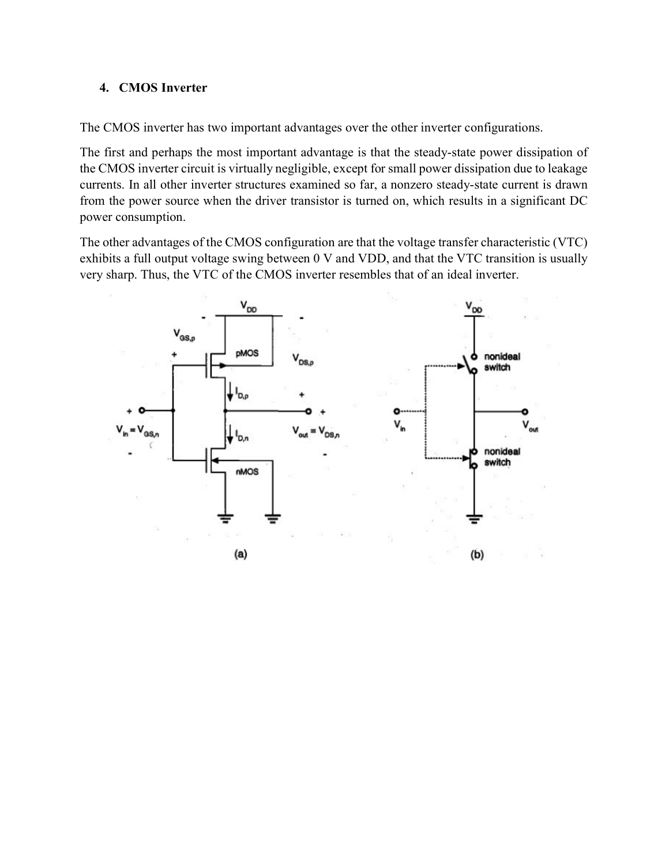## 4. CMOS Inverter

The CMOS inverter has two important advantages over the other inverter configurations.

The first and perhaps the most important advantage is that the steady-state power dissipation of the CMOS inverter circuit is virtually negligible, except for small power dissipation due to leakage currents. In all other inverter structures examined so far, a nonzero steady-state current is drawn from the power source when the driver transistor is turned on, which results in a significant DC power consumption.

The other advantages of the CMOS configuration are that the voltage transfer characteristic (VTC) exhibits a full output voltage swing between 0 V and VDD, and that the VTC transition is usually very sharp. Thus, the VTC of the CMOS inverter resembles that of an ideal inverter.

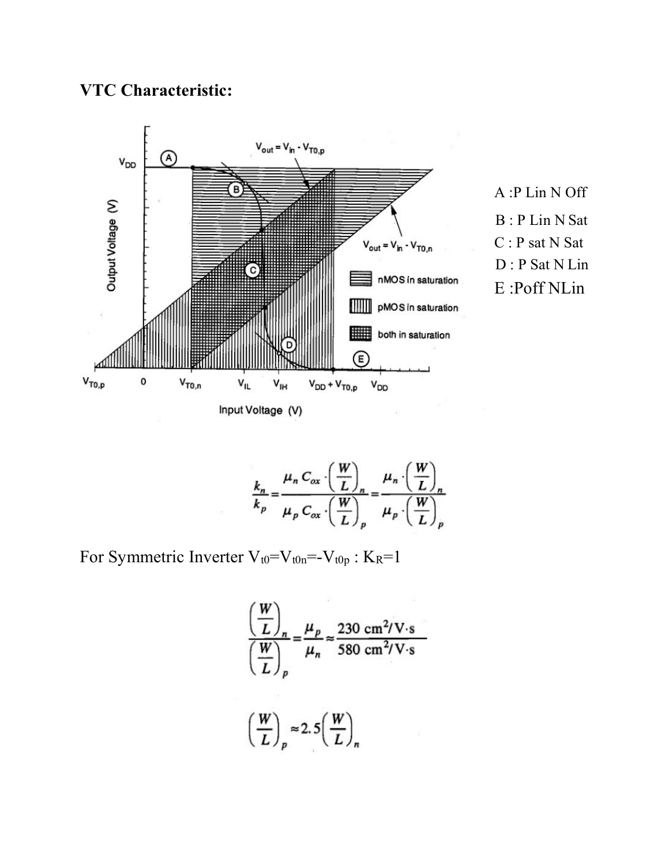## VTC Characteristic:







For Symmetric Inverter  $V_{t0}=V_{t0n}=-V_{t0p}:K_R=1$ 

$$
\left(\frac{W}{L}\right)_n = \frac{\mu_p}{\mu_n} \approx \frac{230 \text{ cm}^2/\text{V} \cdot \text{s}}{580 \text{ cm}^2/\text{V} \cdot \text{s}}
$$

$$
\left(\frac{W}{L}\right)_p \approx 2.5 \left(\frac{W}{L}\right)_n
$$